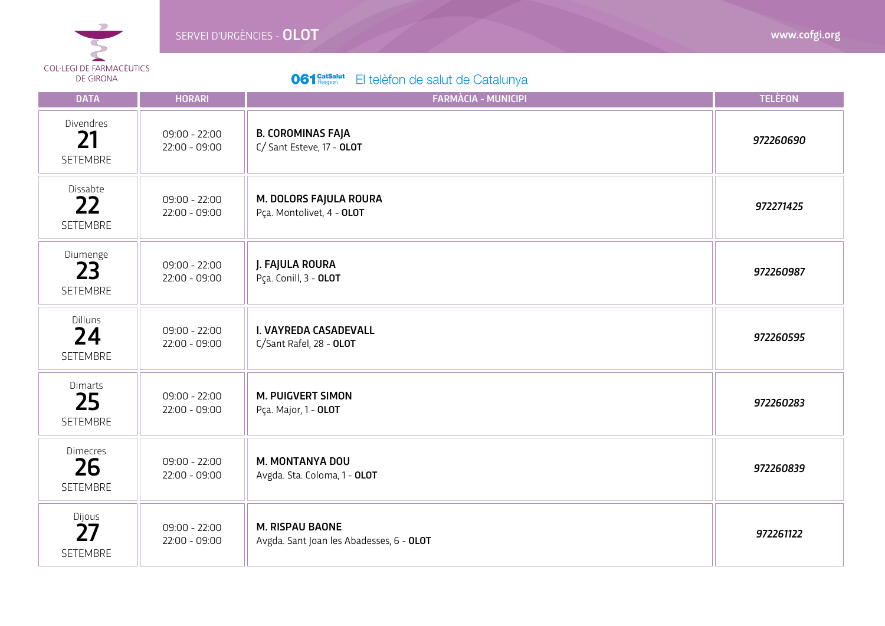

| <b>DATA</b>                              | <b>HORARI</b>                      | <b>FARMÀCIA - MUNICIPI</b>                                         | <b>TELÈFON</b> |
|------------------------------------------|------------------------------------|--------------------------------------------------------------------|----------------|
| Divendres<br>21<br>SETEMBRE              | $09:00 - 22:00$<br>$22:00 - 09:00$ | <b>B. COROMINAS FAJA</b><br>C/ Sant Esteve, 17 - OLOT              | 972260690      |
| Dissabte<br>22<br><b>SETEMBRE</b>        | $09:00 - 22:00$<br>$22:00 - 09:00$ | M. DOLORS FAJULA ROURA<br>Pça. Montolivet, 4 - OLOT                | 972271425      |
| Diumenge<br>23<br>SETEMBRE               | $09:00 - 22:00$<br>$22:00 - 09:00$ | J. FAJULA ROURA<br>Pça. Conill, 3 - OLOT                           | 972260987      |
| Dilluns<br>24<br><b>SETEMBRE</b>         | $09:00 - 22:00$<br>$22:00 - 09:00$ | I. VAYREDA CASADEVALL<br>C/Sant Rafel, 28 - OLOT                   | 972260595      |
| Dimarts<br>25<br>SETEMBRE                | $09:00 - 22:00$<br>$22:00 - 09:00$ | <b>M. PUIGVERT SIMON</b><br>Pça. Major, 1 - OLOT                   | 972260283      |
| <b>Dimecres</b><br>26<br><b>SETEMBRE</b> | $09:00 - 22:00$<br>$22:00 - 09:00$ | M. MONTANYA DOU<br>Avgda. Sta. Coloma, 1 - OLOT                    | 972260839      |
| Dijous<br>27<br>SETEMBRE                 | $09:00 - 22:00$<br>$22:00 - 09:00$ | <b>M. RISPAU BAONE</b><br>Avgda. Sant Joan les Abadesses, 6 - OLOT | 972261122      |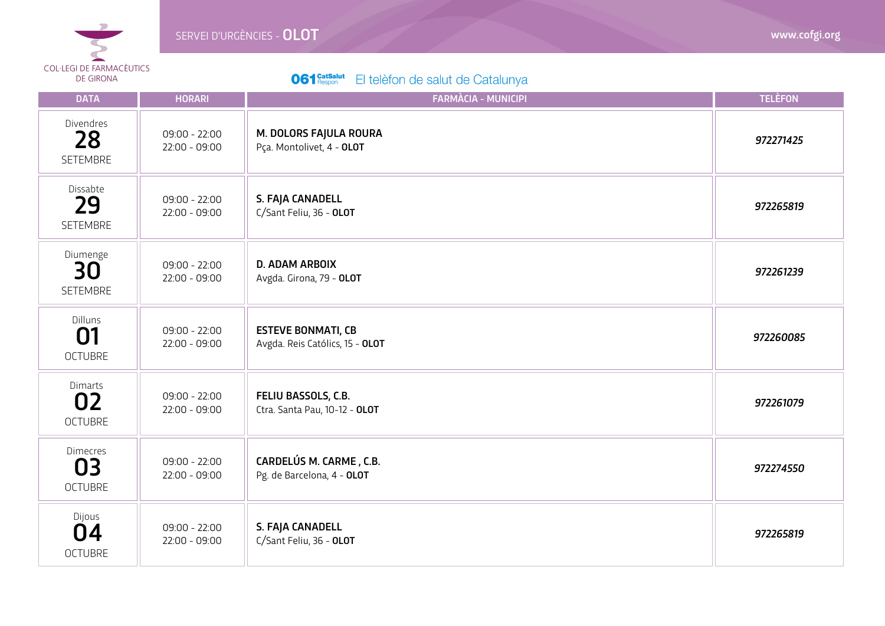

| <b>DATA</b>                             | <b>HORARI</b>                      | <b>FARMÀCIA - MUNICIPI</b>                                   | <b>TELÈFON</b> |
|-----------------------------------------|------------------------------------|--------------------------------------------------------------|----------------|
| Divendres<br>28<br>SETEMBRE             | $09:00 - 22:00$<br>$22:00 - 09:00$ | M. DOLORS FAJULA ROURA<br>Pça. Montolivet, 4 - OLOT          | 972271425      |
| Dissabte<br>29<br>SETEMBRE              | $09:00 - 22:00$<br>$22:00 - 09:00$ | S. FAJA CANADELL<br>C/Sant Feliu, 36 - OLOT                  | 972265819      |
| Diumenge<br>30<br>SETEMBRE              | $09:00 - 22:00$<br>$22:00 - 09:00$ | <b>D. ADAM ARBOIX</b><br>Avgda. Girona, 79 - OLOT            | 972261239      |
| Dilluns<br>01<br><b>OCTUBRE</b>         | $09:00 - 22:00$<br>$22:00 - 09:00$ | <b>ESTEVE BONMATI, CB</b><br>Avgda. Reis Católics, 15 - OLOT | 972260085      |
| Dimarts<br>02<br><b>OCTUBRE</b>         | $09:00 - 22:00$<br>$22:00 - 09:00$ | FELIU BASSOLS, C.B.<br>Ctra. Santa Pau, 10-12 - OLOT         | 972261079      |
| <b>Dimecres</b><br>03<br><b>OCTUBRE</b> | $09:00 - 22:00$<br>$22:00 - 09:00$ | CARDELÚS M. CARME, C.B.<br>Pg. de Barcelona, 4 - OLOT        | 972274550      |
| Dijous<br>04<br><b>OCTUBRE</b>          | $09:00 - 22:00$<br>$22:00 - 09:00$ | S. FAJA CANADELL<br>C/Sant Feliu, 36 - OLOT                  | 972265819      |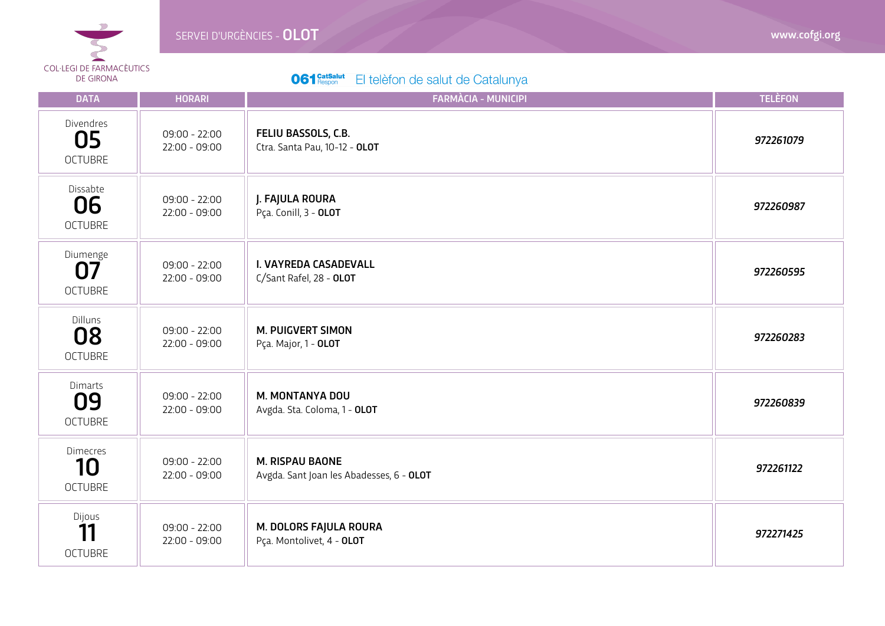

I

| <b>DATA</b>                             | <b>HORARI</b>                      | <b>FARMÀCIA - MUNICIPI</b>                                         | <b>TELÈFON</b> |
|-----------------------------------------|------------------------------------|--------------------------------------------------------------------|----------------|
| Divendres<br>05<br><b>OCTUBRE</b>       | $09:00 - 22:00$<br>$22:00 - 09:00$ | FELIU BASSOLS, C.B.<br>Ctra. Santa Pau, 10-12 - OLOT               | 972261079      |
| Dissabte<br>06<br><b>OCTUBRE</b>        | $09:00 - 22:00$<br>$22:00 - 09:00$ | J. FAJULA ROURA<br>Pça. Conill, 3 - OLOT                           | 972260987      |
| Diumenge<br>07<br><b>OCTUBRE</b>        | $09:00 - 22:00$<br>$22:00 - 09:00$ | I. VAYREDA CASADEVALL<br>C/Sant Rafel, 28 - OLOT                   | 972260595      |
| Dilluns<br>08<br><b>OCTUBRE</b>         | $09:00 - 22:00$<br>$22:00 - 09:00$ | <b>M. PUIGVERT SIMON</b><br>Pça. Major, 1 - OLOT                   | 972260283      |
| Dimarts<br>09<br><b>OCTUBRE</b>         | $09:00 - 22:00$<br>$22:00 - 09:00$ | M. MONTANYA DOU<br>Avgda. Sta. Coloma, 1 - OLOT                    | 972260839      |
| <b>Dimecres</b><br>10<br><b>OCTUBRE</b> | $09:00 - 22:00$<br>$22:00 - 09:00$ | <b>M. RISPAU BAONE</b><br>Avgda. Sant Joan les Abadesses, 6 - OLOT | 972261122      |
| Dijous<br>11<br><b>OCTUBRE</b>          | $09:00 - 22:00$<br>$22:00 - 09:00$ | M. DOLORS FAJULA ROURA<br>Pça. Montolivet, 4 - OLOT                | 972271425      |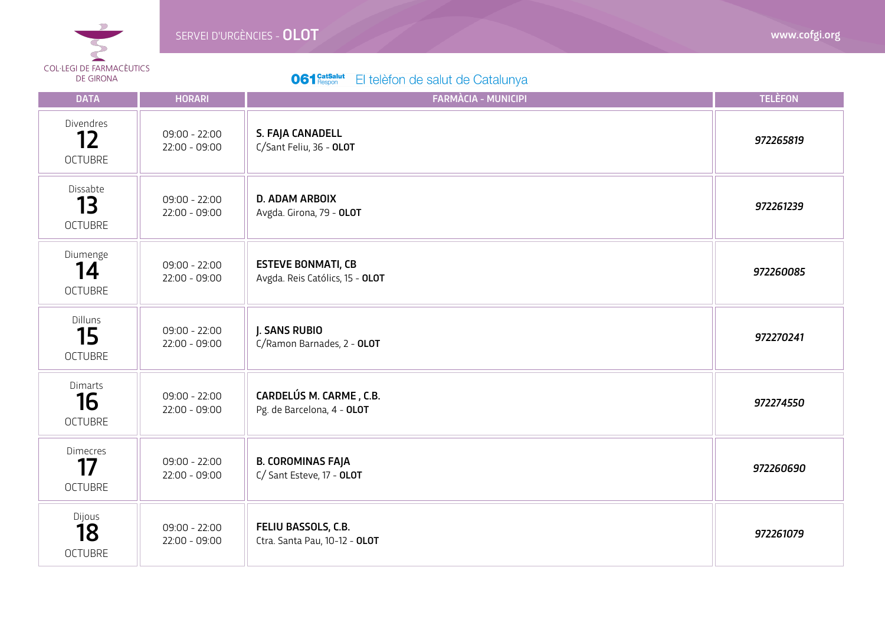

| <b>DATA</b>                             | <b>HORARI</b>                      | <b>FARMÀCIA - MUNICIPI</b>                                   | <b>TELÈFON</b> |
|-----------------------------------------|------------------------------------|--------------------------------------------------------------|----------------|
| Divendres<br>12<br><b>OCTUBRE</b>       | $09:00 - 22:00$<br>$22:00 - 09:00$ | S. FAJA CANADELL<br>C/Sant Feliu, 36 - OLOT                  | 972265819      |
| Dissabte<br>13<br><b>OCTUBRE</b>        | $09:00 - 22:00$<br>$22:00 - 09:00$ | <b>D. ADAM ARBOIX</b><br>Avgda. Girona, 79 - OLOT            | 972261239      |
| Diumenge<br>14<br><b>OCTUBRE</b>        | $09:00 - 22:00$<br>$22:00 - 09:00$ | <b>ESTEVE BONMATI, CB</b><br>Avgda. Reis Católics, 15 - OLOT | 972260085      |
| Dilluns<br>15<br><b>OCTUBRE</b>         | $09:00 - 22:00$<br>$22:00 - 09:00$ | J. SANS RUBIO<br>C/Ramon Barnades, 2 - OLOT                  | 972270241      |
| Dimarts<br>16<br><b>OCTUBRE</b>         | $09:00 - 22:00$<br>$22:00 - 09:00$ | CARDELÚS M. CARME, C.B.<br>Pg. de Barcelona, 4 - OLOT        | 972274550      |
| <b>Dimecres</b><br>17<br><b>OCTUBRE</b> | $09:00 - 22:00$<br>$22:00 - 09:00$ | <b>B. COROMINAS FAJA</b><br>C/ Sant Esteve, 17 - OLOT        | 972260690      |
| Dijous<br>18<br><b>OCTUBRE</b>          | $09:00 - 22:00$<br>$22:00 - 09:00$ | FELIU BASSOLS, C.B.<br>Ctra. Santa Pau, 10-12 - OLOT         | 972261079      |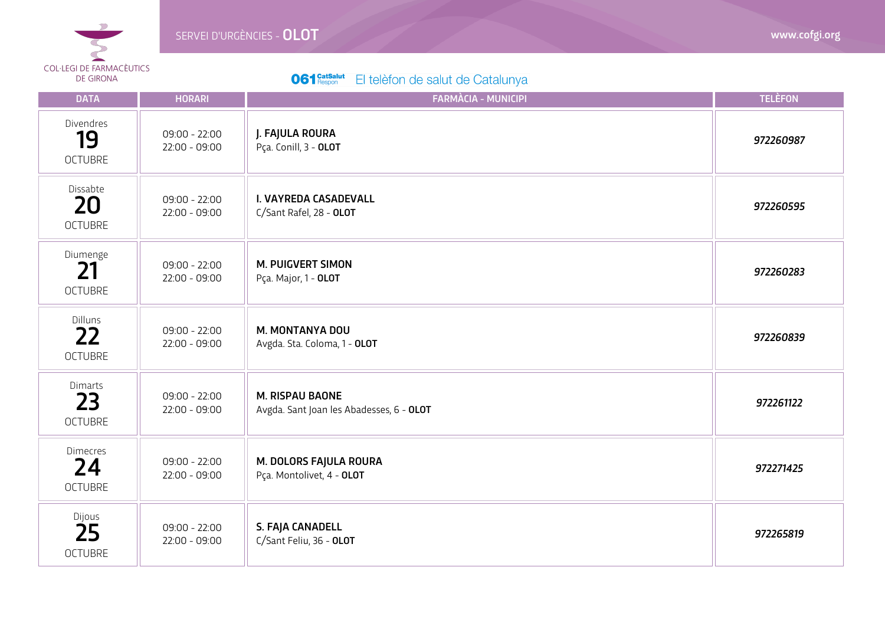

| <b>DATA</b>                             | <b>HORARI</b>                      | <b>FARMÀCIA - MUNICIPI</b>                                  | <b>TELÈFON</b> |
|-----------------------------------------|------------------------------------|-------------------------------------------------------------|----------------|
| Divendres<br>19<br><b>OCTUBRE</b>       | $09:00 - 22:00$<br>$22:00 - 09:00$ | J. FAJULA ROURA<br>Pça. Conill, 3 - OLOT                    | 972260987      |
| Dissabte<br>20<br><b>OCTUBRE</b>        | $09:00 - 22:00$<br>$22:00 - 09:00$ | I. VAYREDA CASADEVALL<br>C/Sant Rafel, 28 - OLOT            | 972260595      |
| Diumenge<br>21<br><b>OCTUBRE</b>        | $09:00 - 22:00$<br>$22:00 - 09:00$ | <b>M. PUIGVERT SIMON</b><br>Pça. Major, 1 - OLOT            | 972260283      |
| <b>Dilluns</b><br>22<br><b>OCTUBRE</b>  | $09:00 - 22:00$<br>$22:00 - 09:00$ | M. MONTANYA DOU<br>Avgda. Sta. Coloma, 1 - OLOT             | 972260839      |
| Dimarts<br>23<br><b>OCTUBRE</b>         | $09:00 - 22:00$<br>$22:00 - 09:00$ | M. RISPAU BAONE<br>Avgda. Sant Joan les Abadesses, 6 - OLOT | 972261122      |
| <b>Dimecres</b><br>24<br><b>OCTUBRE</b> | $09:00 - 22:00$<br>$22:00 - 09:00$ | M. DOLORS FAJULA ROURA<br>Pça. Montolivet, 4 - OLOT         | 972271425      |
| Dijous<br>25<br><b>OCTUBRE</b>          | $09:00 - 22:00$<br>$22:00 - 09:00$ | S. FAJA CANADELL<br>C/Sant Feliu, 36 - OLOT                 | 972265819      |